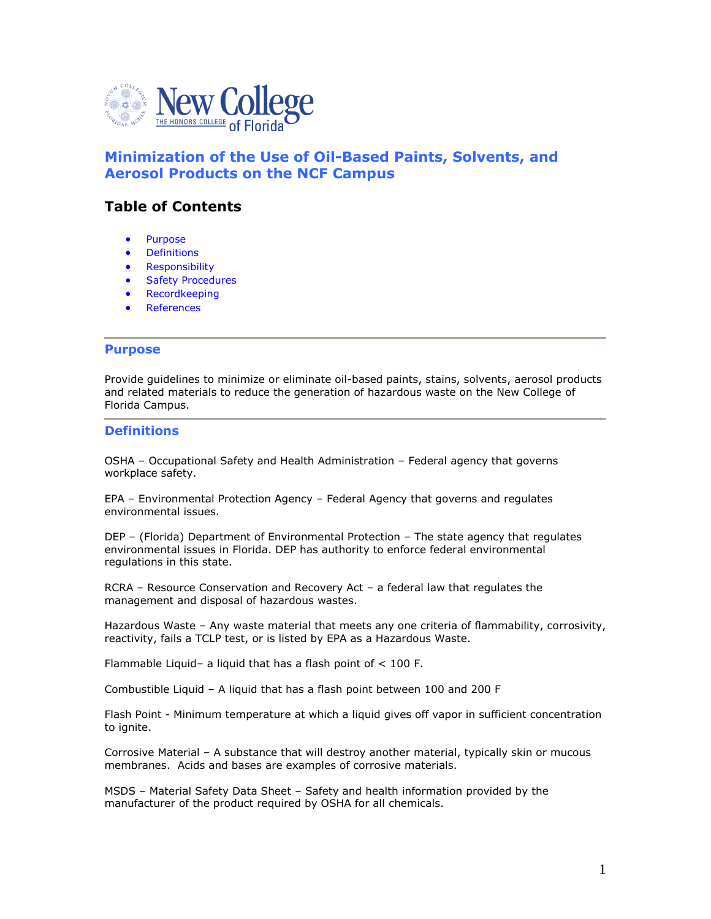

# **Minimization of the Use of Oil-Based Paints, Solvents, and Aerosol Products on the NCF Campus**

# **Table of Contents**

- [Purpose](http://www.safety.fsu.edu/policies/hearing.html#purpose#purpose)
- **•** [Definitions](http://www.safety.fsu.edu/policies/hearing.html#definitions#definitions)
- **•** [Responsibility](http://www.safety.fsu.edu/policies/hearing.html#responsibility#responsibility)
- Safety Procedures
- [Recordkeeping](http://www.safety.fsu.edu/policies/hearing.html#recordkeeping#recordkeeping)
- [References](http://www.safety.fsu.edu/policies/hearing.html#references#references)

#### **Purpose**

Provide guidelines to minimize or eliminate oil-based paints, stains, solvents, aerosol products and related materials to reduce the generation of hazardous waste on the New College of Florida Campus.

#### **Definitions**

OSHA – Occupational Safety and Health Administration – Federal agency that governs workplace safety.

EPA – Environmental Protection Agency – Federal Agency that governs and regulates environmental issues.

DEP – (Florida) Department of Environmental Protection – The state agency that regulates environmental issues in Florida. DEP has authority to enforce federal environmental regulations in this state.

RCRA – Resource Conservation and Recovery Act – a federal law that regulates the management and disposal of hazardous wastes.

Hazardous Waste – Any waste material that meets any one criteria of flammability, corrosivity, reactivity, fails a TCLP test, or is listed by EPA as a Hazardous Waste.

Flammable Liquid– a liquid that has a flash point of < 100 F.

Combustible Liquid – A liquid that has a flash point between 100 and 200 F

Flash Point - Minimum temperature at which a liquid gives off vapor in sufficient concentration to ignite.

Corrosive Material – A substance that will destroy another material, typically skin or mucous membranes. Acids and bases are examples of corrosive materials.

MSDS – Material Safety Data Sheet – Safety and health information provided by the manufacturer of the product required by OSHA for all chemicals.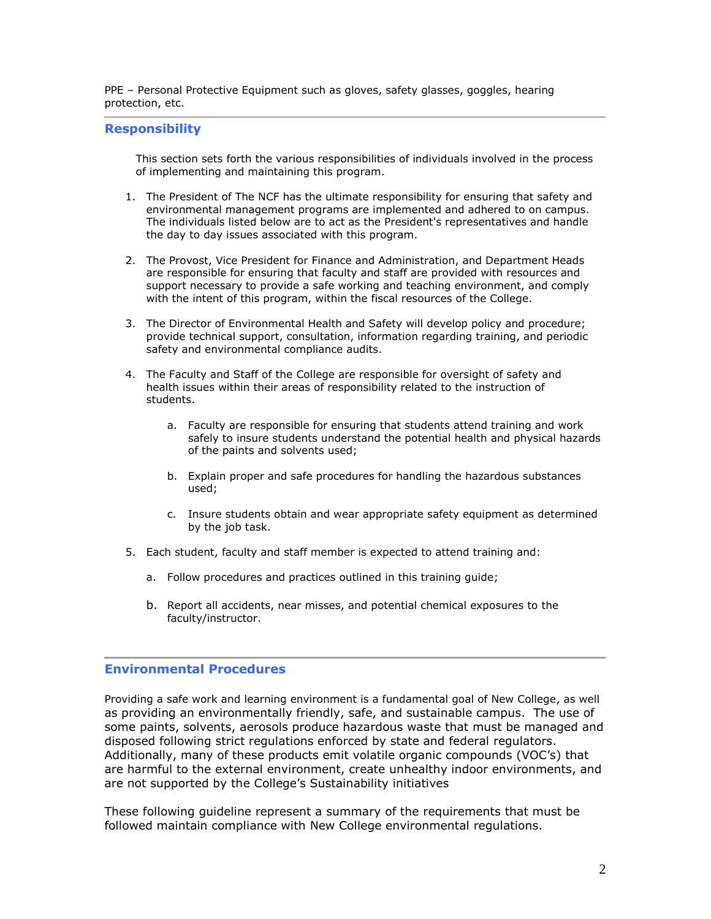PPE – Personal Protective Equipment such as gloves, safety glasses, goggles, hearing protection, etc.

### **Responsibility**

This section sets forth the various responsibilities of individuals involved in the process of implementing and maintaining this program.

- 1. The President of The NCF has the ultimate responsibility for ensuring that safety and environmental management programs are implemented and adhered to on campus. The individuals listed below are to act as the President's representatives and handle the day to day issues associated with this program.
- 2. The Provost, Vice President for Finance and Administration, and Department Heads are responsible for ensuring that faculty and staff are provided with resources and support necessary to provide a safe working and teaching environment, and comply with the intent of this program, within the fiscal resources of the College.
- 3. The Director of Environmental Health and Safety will develop policy and procedure; provide technical support, consultation, information regarding training, and periodic safety and environmental compliance audits.
- 4. The Faculty and Staff of the College are responsible for oversight of safety and health issues within their areas of responsibility related to the instruction of students.
	- a. Faculty are responsible for ensuring that students attend training and work safely to insure students understand the potential health and physical hazards of the paints and solvents used;
	- b. Explain proper and safe procedures for handling the hazardous substances used;
	- c. Insure students obtain and wear appropriate safety equipment as determined by the job task.
- 5. Each student, faculty and staff member is expected to attend training and:
	- a. Follow procedures and practices outlined in this training guide;
	- b. Report all accidents, near misses, and potential chemical exposures to the faculty/instructor.

#### **Environmental Procedures**

Providing a safe work and learning environment is a fundamental goal of New College, as well as providing an environmentally friendly, safe, and sustainable campus. The use of some paints, solvents, aerosols produce hazardous waste that must be managed and disposed following strict regulations enforced by state and federal regulators. Additionally, many of these products emit volatile organic compounds (VOC's) that are harmful to the external environment, create unhealthy indoor environments, and are not supported by the College's Sustainability initiatives

These following guideline represent a summary of the requirements that must be followed maintain compliance with New College environmental regulations.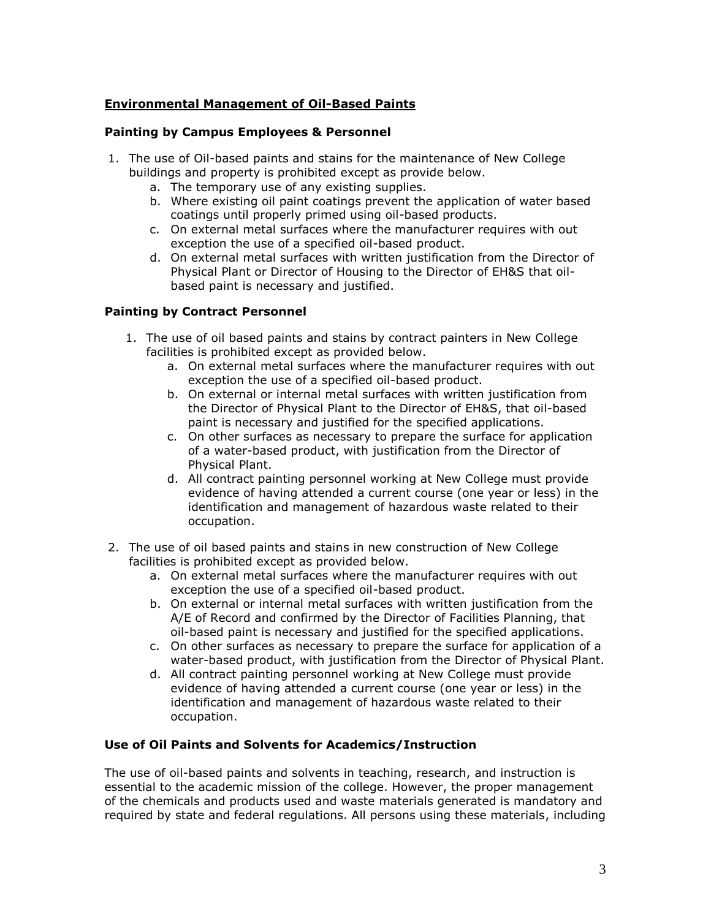# **Environmental Management of Oil-Based Paints**

### **Painting by Campus Employees & Personnel**

- 1. The use of Oil-based paints and stains for the maintenance of New College buildings and property is prohibited except as provide below.
	- a. The temporary use of any existing supplies.
	- b. Where existing oil paint coatings prevent the application of water based coatings until properly primed using oil-based products.
	- c. On external metal surfaces where the manufacturer requires with out exception the use of a specified oil-based product.
	- d. On external metal surfaces with written justification from the Director of Physical Plant or Director of Housing to the Director of EH&S that oilbased paint is necessary and justified.

## **Painting by Contract Personnel**

- 1. The use of oil based paints and stains by contract painters in New College facilities is prohibited except as provided below.
	- a. On external metal surfaces where the manufacturer requires with out exception the use of a specified oil-based product.
	- b. On external or internal metal surfaces with written justification from the Director of Physical Plant to the Director of EH&S, that oil-based paint is necessary and justified for the specified applications.
	- c. On other surfaces as necessary to prepare the surface for application of a water-based product, with justification from the Director of Physical Plant.
	- d. All contract painting personnel working at New College must provide evidence of having attended a current course (one year or less) in the identification and management of hazardous waste related to their occupation.
- 2. The use of oil based paints and stains in new construction of New College facilities is prohibited except as provided below.
	- a. On external metal surfaces where the manufacturer requires with out exception the use of a specified oil-based product.
	- b. On external or internal metal surfaces with written justification from the A/E of Record and confirmed by the Director of Facilities Planning, that oil-based paint is necessary and justified for the specified applications.
	- c. On other surfaces as necessary to prepare the surface for application of a water-based product, with justification from the Director of Physical Plant.
	- d. All contract painting personnel working at New College must provide evidence of having attended a current course (one year or less) in the identification and management of hazardous waste related to their occupation.

### **Use of Oil Paints and Solvents for Academics/Instruction**

The use of oil-based paints and solvents in teaching, research, and instruction is essential to the academic mission of the college. However, the proper management of the chemicals and products used and waste materials generated is mandatory and required by state and federal regulations. All persons using these materials, including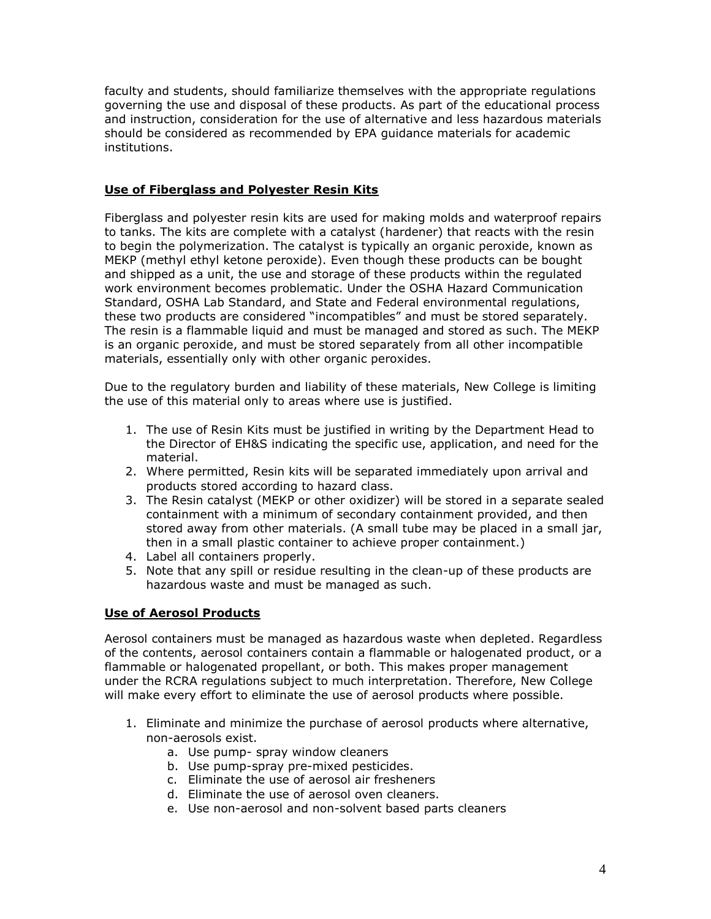faculty and students, should familiarize themselves with the appropriate regulations governing the use and disposal of these products. As part of the educational process and instruction, consideration for the use of alternative and less hazardous materials should be considered as recommended by EPA guidance materials for academic institutions.

## **Use of Fiberglass and Polyester Resin Kits**

Fiberglass and polyester resin kits are used for making molds and waterproof repairs to tanks. The kits are complete with a catalyst (hardener) that reacts with the resin to begin the polymerization. The catalyst is typically an organic peroxide, known as MEKP (methyl ethyl ketone peroxide). Even though these products can be bought and shipped as a unit, the use and storage of these products within the regulated work environment becomes problematic. Under the OSHA Hazard Communication Standard, OSHA Lab Standard, and State and Federal environmental regulations, these two products are considered "incompatibles" and must be stored separately. The resin is a flammable liquid and must be managed and stored as such. The MEKP is an organic peroxide, and must be stored separately from all other incompatible materials, essentially only with other organic peroxides.

Due to the regulatory burden and liability of these materials, New College is limiting the use of this material only to areas where use is justified.

- 1. The use of Resin Kits must be justified in writing by the Department Head to the Director of EH&S indicating the specific use, application, and need for the material.
- 2. Where permitted, Resin kits will be separated immediately upon arrival and products stored according to hazard class.
- 3. The Resin catalyst (MEKP or other oxidizer) will be stored in a separate sealed containment with a minimum of secondary containment provided, and then stored away from other materials. (A small tube may be placed in a small jar, then in a small plastic container to achieve proper containment.)
- 4. Label all containers properly.
- 5. Note that any spill or residue resulting in the clean-up of these products are hazardous waste and must be managed as such.

# **Use of Aerosol Products**

Aerosol containers must be managed as hazardous waste when depleted. Regardless of the contents, aerosol containers contain a flammable or halogenated product, or a flammable or halogenated propellant, or both. This makes proper management under the RCRA regulations subject to much interpretation. Therefore, New College will make every effort to eliminate the use of aerosol products where possible.

- 1. Eliminate and minimize the purchase of aerosol products where alternative, non-aerosols exist.
	- a. Use pump- spray window cleaners
	- b. Use pump-spray pre-mixed pesticides.
	- c. Eliminate the use of aerosol air fresheners
	- d. Eliminate the use of aerosol oven cleaners.
	- e. Use non-aerosol and non-solvent based parts cleaners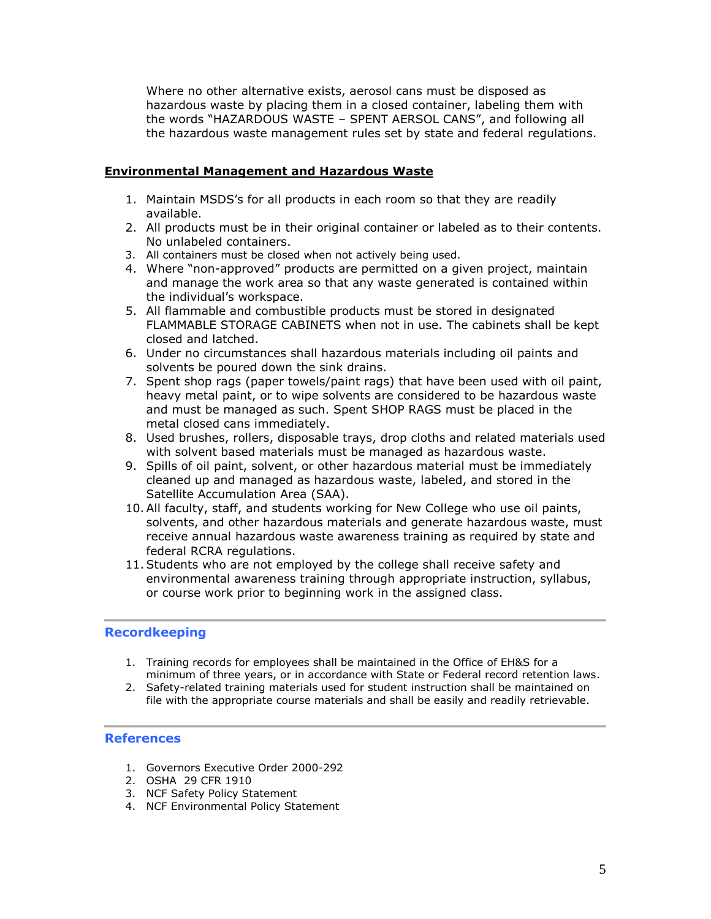Where no other alternative exists, aerosol cans must be disposed as hazardous waste by placing them in a closed container, labeling them with the words "HAZARDOUS WASTE – SPENT AERSOL CANS", and following all the hazardous waste management rules set by state and federal regulations.

### **Environmental Management and Hazardous Waste**

- 1. Maintain MSDS's for all products in each room so that they are readily available.
- 2. All products must be in their original container or labeled as to their contents. No unlabeled containers.
- 3. All containers must be closed when not actively being used.
- 4. Where "non-approved" products are permitted on a given project, maintain and manage the work area so that any waste generated is contained within the individual's workspace.
- 5. All flammable and combustible products must be stored in designated FLAMMABLE STORAGE CABINETS when not in use. The cabinets shall be kept closed and latched.
- 6. Under no circumstances shall hazardous materials including oil paints and solvents be poured down the sink drains.
- 7. Spent shop rags (paper towels/paint rags) that have been used with oil paint, heavy metal paint, or to wipe solvents are considered to be hazardous waste and must be managed as such. Spent SHOP RAGS must be placed in the metal closed cans immediately.
- 8. Used brushes, rollers, disposable trays, drop cloths and related materials used with solvent based materials must be managed as hazardous waste.
- 9. Spills of oil paint, solvent, or other hazardous material must be immediately cleaned up and managed as hazardous waste, labeled, and stored in the Satellite Accumulation Area (SAA).
- 10.All faculty, staff, and students working for New College who use oil paints, solvents, and other hazardous materials and generate hazardous waste, must receive annual hazardous waste awareness training as required by state and federal RCRA regulations.
- 11.Students who are not employed by the college shall receive safety and environmental awareness training through appropriate instruction, syllabus, or course work prior to beginning work in the assigned class.

# **Recordkeeping**

- 1. Training records for employees shall be maintained in the Office of EH&S for a minimum of three years, or in accordance with State or Federal record retention laws.
- 2. Safety-related training materials used for student instruction shall be maintained on file with the appropriate course materials and shall be easily and readily retrievable.

### **References**

- 1. Governors Executive Order 2000-292
- 2. OSHA 29 CFR 1910
- 3. NCF Safety Policy Statement
- 4. NCF Environmental Policy Statement